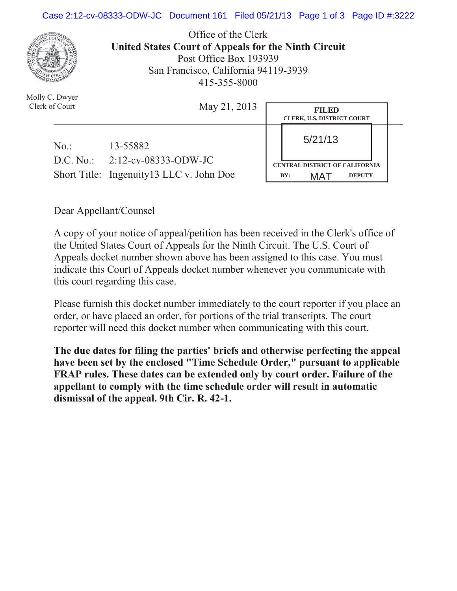## Case 2:12-cv-08333-ODW-JC Document 161 Filed 05/21/13 Page 1 of 3 Page ID #:3222



Office of the Clerk **United States Court of Appeals for the Ninth Circuit**  Post Office Box 193939 San Francisco, California 94119-3939 415-355-8000

| Molly C. Dwyer<br>Clerk of Court | May 21, 2013                                                                  | <b>FILED</b><br><b>CLERK, U.S. DISTRICT COURT</b>                      |
|----------------------------------|-------------------------------------------------------------------------------|------------------------------------------------------------------------|
| No.                              | 13-55882                                                                      | 5/21/13                                                                |
|                                  | D.C. No.: $2:12$ -cv-08333-ODW-JC<br>Short Title: Ingenuity13 LLC v. John Doe | <b>CENTRAL DISTRICT OF CALIFORNIA</b><br><b>DEPUTY</b><br>BY:<br>N A T |

Dear Appellant/Counsel

A copy of your notice of appeal/petition has been received in the Clerk's office of the United States Court of Appeals for the Ninth Circuit. The U.S. Court of Appeals docket number shown above has been assigned to this case. You must indicate this Court of Appeals docket number whenever you communicate with this court regarding this case.

Please furnish this docket number immediately to the court reporter if you place an order, or have placed an order, for portions of the trial transcripts. The court reporter will need this docket number when communicating with this court.

**The due dates for filing the parties' briefs and otherwise perfecting the appeal have been set by the enclosed "Time Schedule Order," pursuant to applicable FRAP rules. These dates can be extended only by court order. Failure of the appellant to comply with the time schedule order will result in automatic dismissal of the appeal. 9th Cir. R. 42-1.**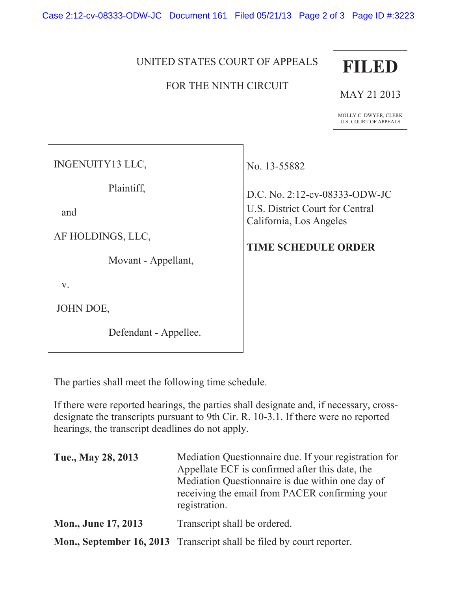Case 2:12-cv-08333-ODW-JC Document 161 Filed 05/21/13 Page 2 of 3 Page ID #:3223

## UNITED STATES COURT OF APPEALS

## FOR THE NINTH CIRCUIT



MAY 21 2013

MOLLY C. DWYER, CLERK U.S. COURT OF APPEALS

INGENUITY13 LLC,

Plaintiff,

and

AF HOLDINGS, LLC,

Movant - Appellant,

v.

JOHN DOE,

Defendant - Appellee.

No. 13-55882

D.C. No. 2:12-cv-08333-ODW-JC U.S. District Court for Central California, Los Angeles

## **TIME SCHEDULE ORDER**

The parties shall meet the following time schedule.

If there were reported hearings, the parties shall designate and, if necessary, crossdesignate the transcripts pursuant to 9th Cir. R. 10-3.1. If there were no reported hearings, the transcript deadlines do not apply.

| Tue., May 28, 2013         | Mediation Questionnaire due. If your registration for<br>Appellate ECF is confirmed after this date, the<br>Mediation Questionnaire is due within one day of<br>receiving the email from PACER confirming your<br>registration. |
|----------------------------|---------------------------------------------------------------------------------------------------------------------------------------------------------------------------------------------------------------------------------|
| <b>Mon., June 17, 2013</b> | Transcript shall be ordered.                                                                                                                                                                                                    |
|                            | Mon., September 16, 2013 Transcript shall be filed by court reporter.                                                                                                                                                           |